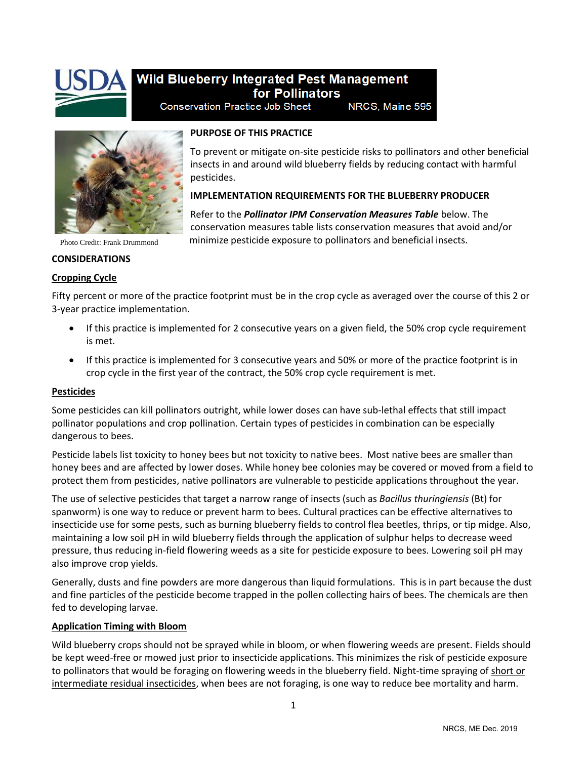

# Wild Blueberry Integrated Pest Management for Pollinators

**Conservation Practice Job Sheet** NRCS, Maine 595



### **PURPOSE OF THIS PRACTICE**

To prevent or mitigate on-site pesticide risks to pollinators and other beneficial insects in and around wild blueberry fields by reducing contact with harmful pesticides.

## **IMPLEMENTATION REQUIREMENTS FOR THE BLUEBERRY PRODUCER**

Refer to the *Pollinator IPM Conservation Measures Table* below. The conservation measures table lists conservation measures that avoid and/or minimize pesticide exposure to pollinators and beneficial insects.

Photo Credit: Frank Drummond

## **CONSIDERATIONS**

## **Cropping Cycle**

Fifty percent or more of the practice footprint must be in the crop cycle as averaged over the course of this 2 or 3-year practice implementation.

- If this practice is implemented for 2 consecutive years on a given field, the 50% crop cycle requirement is met.
- If this practice is implemented for 3 consecutive years and 50% or more of the practice footprint is in crop cycle in the first year of the contract, the 50% crop cycle requirement is met.

#### **Pesticides**

Some pesticides can kill pollinators outright, while lower doses can have sub-lethal effects that still impact pollinator populations and crop pollination. Certain types of pesticides in combination can be especially dangerous to bees.

Pesticide labels list toxicity to honey bees but not toxicity to native bees. Most native bees are smaller than honey bees and are affected by lower doses. While honey bee colonies may be covered or moved from a field to protect them from pesticides, native pollinators are vulnerable to pesticide applications throughout the year.

The use of selective pesticides that target a narrow range of insects (such as *Bacillus thuringiensis* (Bt) for spanworm) is one way to reduce or prevent harm to bees. Cultural practices can be effective alternatives to insecticide use for some pests, such as burning blueberry fields to control flea beetles, thrips, or tip midge. Also, maintaining a low soil pH in wild blueberry fields through the application of sulphur helps to decrease weed pressure, thus reducing in-field flowering weeds as a site for pesticide exposure to bees. Lowering soil pH may also improve crop yields.

Generally, dusts and fine powders are more dangerous than liquid formulations. This is in part because the dust and fine particles of the pesticide become trapped in the pollen collecting hairs of bees. The chemicals are then fed to developing larvae.

#### **Application Timing with Bloom**

Wild blueberry crops should not be sprayed while in bloom, or when flowering weeds are present. Fields should be kept weed-free or mowed just prior to insecticide applications. This minimizes the risk of pesticide exposure to pollinators that would be foraging on flowering weeds in the blueberry field. Night-time spraying of short or intermediate residual insecticides, when bees are not foraging, is one way to reduce bee mortality and harm.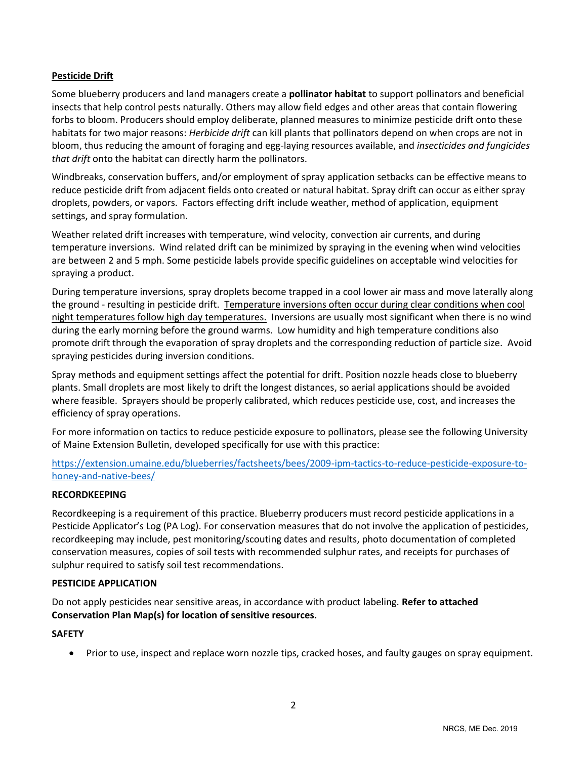## **Pesticide Drift**

Some blueberry producers and land managers create a **pollinator habitat** to support pollinators and beneficial insects that help control pests naturally. Others may allow field edges and other areas that contain flowering forbs to bloom. Producers should employ deliberate, planned measures to minimize pesticide drift onto these habitats for two major reasons: *Herbicide drift* can kill plants that pollinators depend on when crops are not in bloom, thus reducing the amount of foraging and egg-laying resources available, and *insecticides and fungicides that drift* onto the habitat can directly harm the pollinators.

Windbreaks, conservation buffers, and/or employment of spray application setbacks can be effective means to reduce pesticide drift from adjacent fields onto created or natural habitat. Spray drift can occur as either spray droplets, powders, or vapors. Factors effecting drift include weather, method of application, equipment settings, and spray formulation.

Weather related drift increases with temperature, wind velocity, convection air currents, and during temperature inversions. Wind related drift can be minimized by spraying in the evening when wind velocities are between 2 and 5 mph. Some pesticide labels provide specific guidelines on acceptable wind velocities for spraying a product.

During temperature inversions, spray droplets become trapped in a cool lower air mass and move laterally along the ground - resulting in pesticide drift. Temperature inversions often occur during clear conditions when cool night temperatures follow high day temperatures. Inversions are usually most significant when there is no wind during the early morning before the ground warms. Low humidity and high temperature conditions also promote drift through the evaporation of spray droplets and the corresponding reduction of particle size. Avoid spraying pesticides during inversion conditions.

Spray methods and equipment settings affect the potential for drift. Position nozzle heads close to blueberry plants. Small droplets are most likely to drift the longest distances, so aerial applications should be avoided where feasible. Sprayers should be properly calibrated, which reduces pesticide use, cost, and increases the efficiency of spray operations.

For more information on tactics to reduce pesticide exposure to pollinators, please see the following University of Maine Extension Bulletin, developed specifically for use with this practice:

[https://extension.umaine.edu/blueberries/factsheets/bees/2009-ipm-tactics-to-reduce-pesticide-exposure-to](https://extension.umaine.edu/blueberries/factsheets/bees/2009-ipm-tactics-to-reduce-pesticide-exposure-to-honey-and-native-bees/)[honey-and-native-bees/](https://extension.umaine.edu/blueberries/factsheets/bees/2009-ipm-tactics-to-reduce-pesticide-exposure-to-honey-and-native-bees/)

#### **RECORDKEEPING**

Recordkeeping is a requirement of this practice. Blueberry producers must record pesticide applications in a Pesticide Applicator's Log (PA Log). For conservation measures that do not involve the application of pesticides, recordkeeping may include, pest monitoring/scouting dates and results, photo documentation of completed conservation measures, copies of soil tests with recommended sulphur rates, and receipts for purchases of sulphur required to satisfy soil test recommendations.

#### **PESTICIDE APPLICATION**

Do not apply pesticides near sensitive areas, in accordance with product labeling. **Refer to attached Conservation Plan Map(s) for location of sensitive resources.**

#### **SAFETY**

• Prior to use, inspect and replace worn nozzle tips, cracked hoses, and faulty gauges on spray equipment.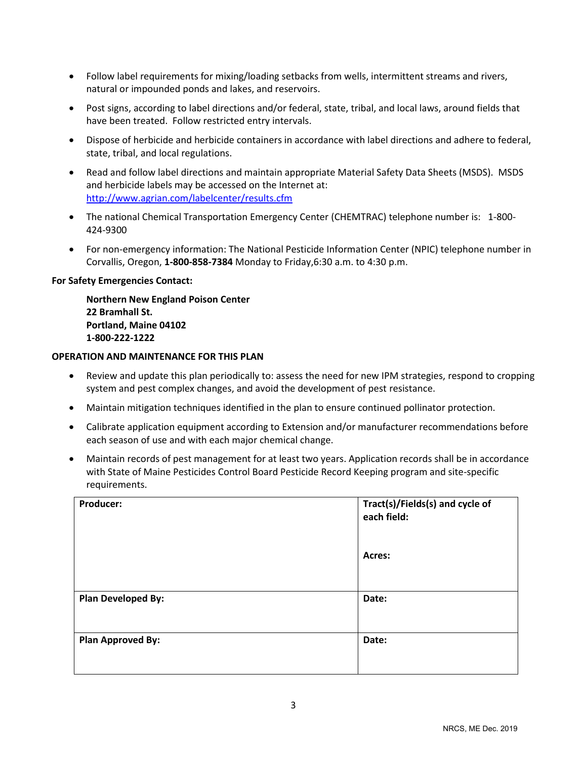- Follow label requirements for mixing/loading setbacks from wells, intermittent streams and rivers, natural or impounded ponds and lakes, and reservoirs.
- Post signs, according to label directions and/or federal, state, tribal, and local laws, around fields that have been treated. Follow restricted entry intervals.
- Dispose of herbicide and herbicide containers in accordance with label directions and adhere to federal, state, tribal, and local regulations.
- Read and follow label directions and maintain appropriate Material Safety Data Sheets (MSDS). MSDS and herbicide labels may be accessed on the Internet at: <http://www.agrian.com/labelcenter/results.cfm>
- The national Chemical Transportation Emergency Center (CHEMTRAC) telephone number is: 1-800- 424-9300
- For non-emergency information: The National Pesticide Information Center (NPIC) telephone number in Corvallis, Oregon, **1-800-858-7384** Monday to Friday,6:30 a.m. to 4:30 p.m.

#### **For Safety Emergencies Contact:**

**Northern New England Poison Center 22 Bramhall St. Portland, Maine 04102 1-800-222-1222**

#### **OPERATION AND MAINTENANCE FOR THIS PLAN**

- Review and update this plan periodically to: assess the need for new IPM strategies, respond to cropping system and pest complex changes, and avoid the development of pest resistance.
- Maintain mitigation techniques identified in the plan to ensure continued pollinator protection.
- Calibrate application equipment according to Extension and/or manufacturer recommendations before each season of use and with each major chemical change.
- Maintain records of pest management for at least two years. Application records shall be in accordance with State of Maine Pesticides Control Board Pesticide Record Keeping program and site-specific requirements.

| Producer:                 | Tract(s)/Fields(s) and cycle of<br>each field: |
|---------------------------|------------------------------------------------|
|                           | Acres:                                         |
| <b>Plan Developed By:</b> | Date:                                          |
| <b>Plan Approved By:</b>  | Date:                                          |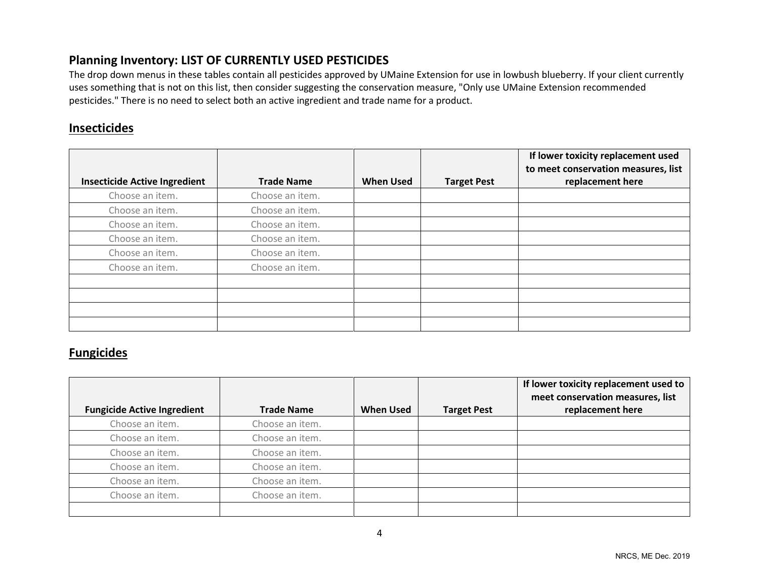# **Planning Inventory: LIST OF CURRENTLY USED PESTICIDES**

The drop down menus in these tables contain all pesticides approved by UMaine Extension for use in lowbush blueberry. If your client currently uses something that is not on this list, then consider suggesting the conservation measure, "Only use UMaine Extension recommended pesticides." There is no need to select both an active ingredient and trade name for a product.

# **Insecticides**

|                                      |                   |                  |                    | If lower toxicity replacement used<br>to meet conservation measures, list |
|--------------------------------------|-------------------|------------------|--------------------|---------------------------------------------------------------------------|
| <b>Insecticide Active Ingredient</b> | <b>Trade Name</b> | <b>When Used</b> | <b>Target Pest</b> | replacement here                                                          |
| Choose an item.                      | Choose an item.   |                  |                    |                                                                           |
| Choose an item.                      | Choose an item.   |                  |                    |                                                                           |
| Choose an item.                      | Choose an item.   |                  |                    |                                                                           |
| Choose an item.                      | Choose an item.   |                  |                    |                                                                           |
| Choose an item.                      | Choose an item.   |                  |                    |                                                                           |
| Choose an item.                      | Choose an item.   |                  |                    |                                                                           |
|                                      |                   |                  |                    |                                                                           |
|                                      |                   |                  |                    |                                                                           |
|                                      |                   |                  |                    |                                                                           |
|                                      |                   |                  |                    |                                                                           |

# **Fungicides**

| <b>Fungicide Active Ingredient</b> | <b>Trade Name</b> | <b>When Used</b> | <b>Target Pest</b> | If lower toxicity replacement used to<br>meet conservation measures, list<br>replacement here |
|------------------------------------|-------------------|------------------|--------------------|-----------------------------------------------------------------------------------------------|
| Choose an item.                    | Choose an item.   |                  |                    |                                                                                               |
| Choose an item.                    | Choose an item.   |                  |                    |                                                                                               |
| Choose an item.                    | Choose an item.   |                  |                    |                                                                                               |
| Choose an item.                    | Choose an item.   |                  |                    |                                                                                               |
| Choose an item.                    | Choose an item.   |                  |                    |                                                                                               |
| Choose an item.                    | Choose an item.   |                  |                    |                                                                                               |
|                                    |                   |                  |                    |                                                                                               |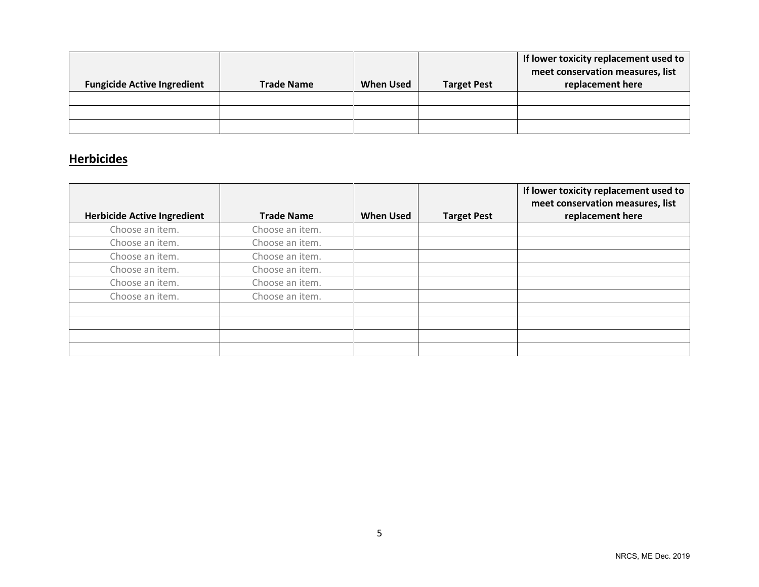|                                    |                   |                  |                    | If lower toxicity replacement used to<br>meet conservation measures, list |
|------------------------------------|-------------------|------------------|--------------------|---------------------------------------------------------------------------|
| <b>Fungicide Active Ingredient</b> | <b>Trade Name</b> | <b>When Used</b> | <b>Target Pest</b> | replacement here                                                          |
|                                    |                   |                  |                    |                                                                           |
|                                    |                   |                  |                    |                                                                           |
|                                    |                   |                  |                    |                                                                           |

# **Herbicides**

|                                    |                   |                  |                    | If lower toxicity replacement used to<br>meet conservation measures, list |
|------------------------------------|-------------------|------------------|--------------------|---------------------------------------------------------------------------|
| <b>Herbicide Active Ingredient</b> | <b>Trade Name</b> | <b>When Used</b> | <b>Target Pest</b> | replacement here                                                          |
| Choose an item.                    | Choose an item.   |                  |                    |                                                                           |
| Choose an item.                    | Choose an item.   |                  |                    |                                                                           |
| Choose an item.                    | Choose an item.   |                  |                    |                                                                           |
| Choose an item.                    | Choose an item.   |                  |                    |                                                                           |
| Choose an item.                    | Choose an item.   |                  |                    |                                                                           |
| Choose an item.                    | Choose an item.   |                  |                    |                                                                           |
|                                    |                   |                  |                    |                                                                           |
|                                    |                   |                  |                    |                                                                           |
|                                    |                   |                  |                    |                                                                           |
|                                    |                   |                  |                    |                                                                           |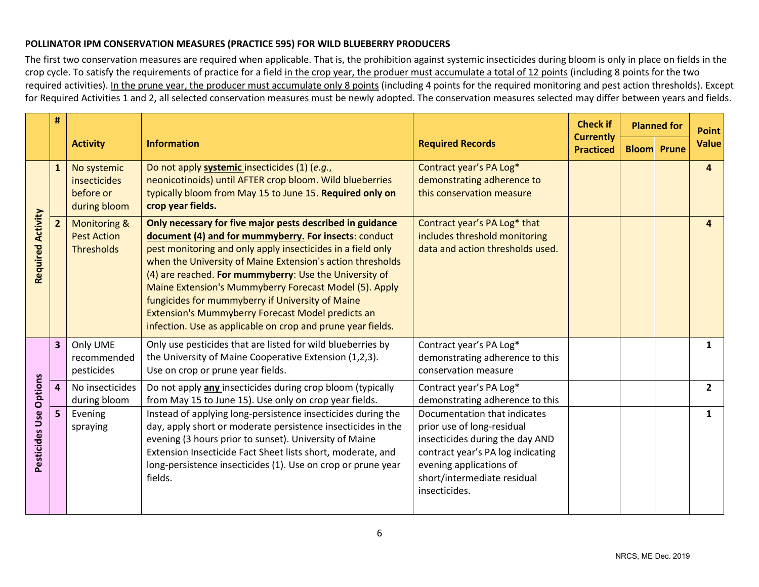#### **POLLINATOR IPM CONSERVATION MEASURES (PRACTICE 595) FOR WILD BLUEBERRY PRODUCERS**

The first two conservation measures are required when applicable. That is, the prohibition against systemic insecticides during bloom is only in place on fields in the crop cycle. To satisfy the requirements of practice for a field in the crop year, the produer must accumulate a total of 12 points (including 8 points for the two required activities). In the prune year, the producer must accumulate only 8 points (including 4 points for the required monitoring and pest action thresholds). Except for Required Activities 1 and 2, all selected conservation measures must be newly adopted. The conservation measures selected may differ between years and fields.

|                          | #                       |                                                             |                                                                                                                                                                                                                                                                                                                                                                                                                                                                                                                                             |                                                                                                                                                                                                               | <b>Check if</b>                      | <b>Planned for</b> |                    | <b>Point</b> |
|--------------------------|-------------------------|-------------------------------------------------------------|---------------------------------------------------------------------------------------------------------------------------------------------------------------------------------------------------------------------------------------------------------------------------------------------------------------------------------------------------------------------------------------------------------------------------------------------------------------------------------------------------------------------------------------------|---------------------------------------------------------------------------------------------------------------------------------------------------------------------------------------------------------------|--------------------------------------|--------------------|--------------------|--------------|
|                          |                         | <b>Activity</b>                                             | <b>Information</b>                                                                                                                                                                                                                                                                                                                                                                                                                                                                                                                          | <b>Required Records</b>                                                                                                                                                                                       | <b>Currently</b><br><b>Practiced</b> |                    | <b>Bloom</b> Prune | <b>Value</b> |
| <b>Required Activity</b> | $\mathbf{1}$            | No systemic<br>insecticides<br>before or<br>during bloom    | Do not apply systemic insecticides (1) (e.g.,<br>neonicotinoids) until AFTER crop bloom. Wild blueberries<br>typically bloom from May 15 to June 15. Required only on<br>crop year fields.                                                                                                                                                                                                                                                                                                                                                  | Contract year's PA Log*<br>demonstrating adherence to<br>this conservation measure                                                                                                                            |                                      |                    |                    | 4            |
|                          | $\overline{2}$          | <b>Monitoring &amp;</b><br><b>Pest Action</b><br>Thresholds | Only necessary for five major pests described in guidance<br>document (4) and for mummyberry. For insects: conduct<br>pest monitoring and only apply insecticides in a field only<br>when the University of Maine Extension's action thresholds<br>(4) are reached. For mummyberry: Use the University of<br>Maine Extension's Mummyberry Forecast Model (5). Apply<br>fungicides for mummyberry if University of Maine<br>Extension's Mummyberry Forecast Model predicts an<br>infection. Use as applicable on crop and prune year fields. | Contract year's PA Log* that<br>includes threshold monitoring<br>data and action thresholds used.                                                                                                             |                                      |                    |                    | 4            |
|                          | $\overline{\mathbf{3}}$ | Only UME<br>recommended<br>pesticides                       | Only use pesticides that are listed for wild blueberries by<br>the University of Maine Cooperative Extension (1,2,3).<br>Use on crop or prune year fields.                                                                                                                                                                                                                                                                                                                                                                                  | Contract year's PA Log*<br>demonstrating adherence to this<br>conservation measure                                                                                                                            |                                      |                    |                    | $\mathbf{1}$ |
| <b>Options</b>           | $\overline{a}$          | No insecticides<br>during bloom                             | Do not apply any insecticides during crop bloom (typically<br>from May 15 to June 15). Use only on crop year fields.                                                                                                                                                                                                                                                                                                                                                                                                                        | Contract year's PA Log*<br>demonstrating adherence to this                                                                                                                                                    |                                      |                    |                    | $2^{\circ}$  |
| Pesticides Use           | 5                       | Evening<br>spraying                                         | Instead of applying long-persistence insecticides during the<br>day, apply short or moderate persistence insecticides in the<br>evening (3 hours prior to sunset). University of Maine<br>Extension Insecticide Fact Sheet lists short, moderate, and<br>long-persistence insecticides (1). Use on crop or prune year<br>fields.                                                                                                                                                                                                            | Documentation that indicates<br>prior use of long-residual<br>insecticides during the day AND<br>contract year's PA log indicating<br>evening applications of<br>short/intermediate residual<br>insecticides. |                                      |                    |                    | $\mathbf{1}$ |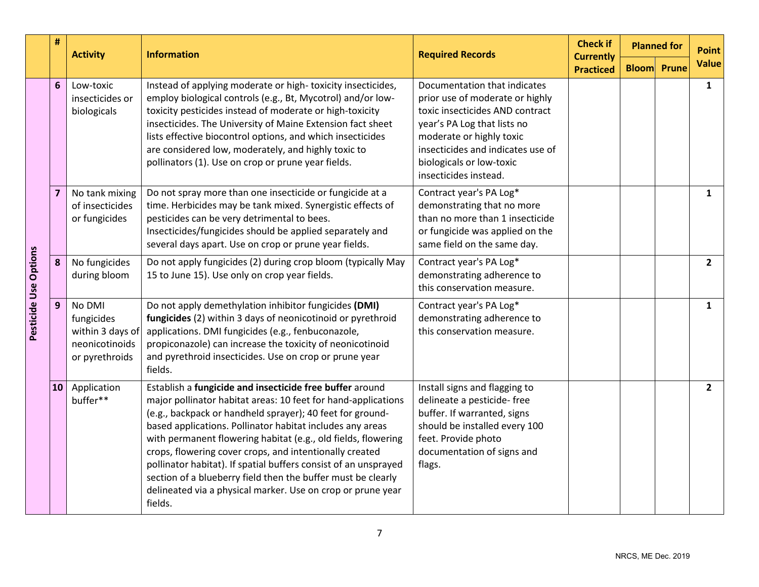|                       | #<br><b>Information</b><br><b>Activity</b> |                                                                              | <b>Required Records</b>                                                                                                                                                                                                                                                                                                                                                                                                                                                                                                                                                                      | <b>Check if</b>                                                                                                                                                                                                                                         | <b>Planned for</b>                   | <b>Point</b>       |                |
|-----------------------|--------------------------------------------|------------------------------------------------------------------------------|----------------------------------------------------------------------------------------------------------------------------------------------------------------------------------------------------------------------------------------------------------------------------------------------------------------------------------------------------------------------------------------------------------------------------------------------------------------------------------------------------------------------------------------------------------------------------------------------|---------------------------------------------------------------------------------------------------------------------------------------------------------------------------------------------------------------------------------------------------------|--------------------------------------|--------------------|----------------|
|                       |                                            |                                                                              |                                                                                                                                                                                                                                                                                                                                                                                                                                                                                                                                                                                              |                                                                                                                                                                                                                                                         | <b>Currently</b><br><b>Practiced</b> | <b>Bloom</b> Prune | <b>Value</b>   |
| 6                     |                                            | Low-toxic<br>insecticides or<br>biologicals                                  | Instead of applying moderate or high-toxicity insecticides,<br>employ biological controls (e.g., Bt, Mycotrol) and/or low-<br>toxicity pesticides instead of moderate or high-toxicity<br>insecticides. The University of Maine Extension fact sheet<br>lists effective biocontrol options, and which insecticides<br>are considered low, moderately, and highly toxic to<br>pollinators (1). Use on crop or prune year fields.                                                                                                                                                              | Documentation that indicates<br>prior use of moderate or highly<br>toxic insecticides AND contract<br>year's PA Log that lists no<br>moderate or highly toxic<br>insecticides and indicates use of<br>biologicals or low-toxic<br>insecticides instead. |                                      |                    | $\mathbf{1}$   |
| Pesticide Use Options | 7                                          | No tank mixing<br>of insecticides<br>or fungicides                           | Do not spray more than one insecticide or fungicide at a<br>time. Herbicides may be tank mixed. Synergistic effects of<br>pesticides can be very detrimental to bees.<br>Insecticides/fungicides should be applied separately and<br>several days apart. Use on crop or prune year fields.                                                                                                                                                                                                                                                                                                   | Contract year's PA Log*<br>demonstrating that no more<br>than no more than 1 insecticide<br>or fungicide was applied on the<br>same field on the same day.                                                                                              |                                      |                    | $\mathbf{1}$   |
|                       | 8                                          | No fungicides<br>during bloom                                                | Do not apply fungicides (2) during crop bloom (typically May<br>15 to June 15). Use only on crop year fields.                                                                                                                                                                                                                                                                                                                                                                                                                                                                                | Contract year's PA Log*<br>demonstrating adherence to<br>this conservation measure.                                                                                                                                                                     |                                      |                    | $\overline{2}$ |
|                       | 9                                          | No DMI<br>fungicides<br>within 3 days of<br>neonicotinoids<br>or pyrethroids | Do not apply demethylation inhibitor fungicides (DMI)<br>fungicides (2) within 3 days of neonicotinoid or pyrethroid<br>applications. DMI fungicides (e.g., fenbuconazole,<br>propiconazole) can increase the toxicity of neonicotinoid<br>and pyrethroid insecticides. Use on crop or prune year<br>fields.                                                                                                                                                                                                                                                                                 | Contract year's PA Log*<br>demonstrating adherence to<br>this conservation measure.                                                                                                                                                                     |                                      |                    | $\mathbf{1}$   |
| 10                    |                                            | Application<br>buffer**                                                      | Establish a fungicide and insecticide free buffer around<br>major pollinator habitat areas: 10 feet for hand-applications<br>(e.g., backpack or handheld sprayer); 40 feet for ground-<br>based applications. Pollinator habitat includes any areas<br>with permanent flowering habitat (e.g., old fields, flowering<br>crops, flowering cover crops, and intentionally created<br>pollinator habitat). If spatial buffers consist of an unsprayed<br>section of a blueberry field then the buffer must be clearly<br>delineated via a physical marker. Use on crop or prune year<br>fields. | Install signs and flagging to<br>delineate a pesticide-free<br>buffer. If warranted, signs<br>should be installed every 100<br>feet. Provide photo<br>documentation of signs and<br>flags.                                                              |                                      |                    | $\overline{2}$ |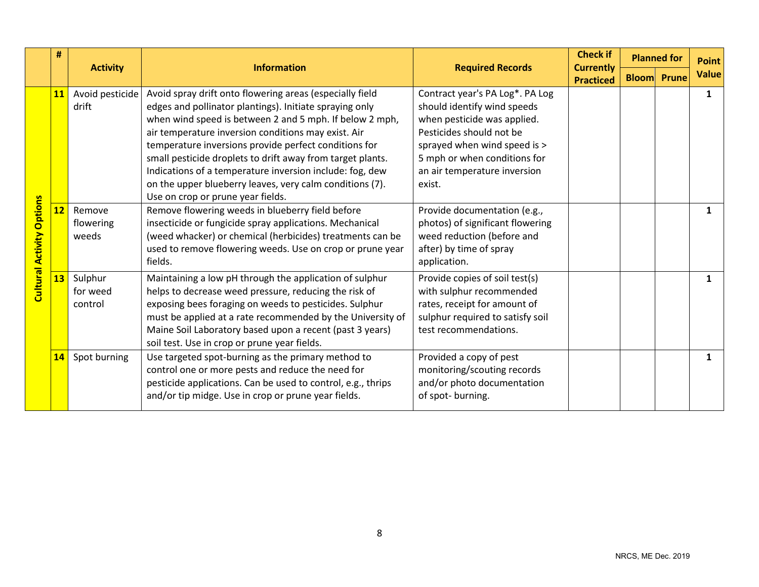|                                  | #  | <b>Activity</b><br><b>Information</b> |                                                                                                                                                                                                                                                                                                                                                                                                                                                                                                                           |                                                                                                                                                                                                                                     | <b>Check if</b><br><b>Currently</b> |                    | <b>Planned for</b> | <b>Point</b> |
|----------------------------------|----|---------------------------------------|---------------------------------------------------------------------------------------------------------------------------------------------------------------------------------------------------------------------------------------------------------------------------------------------------------------------------------------------------------------------------------------------------------------------------------------------------------------------------------------------------------------------------|-------------------------------------------------------------------------------------------------------------------------------------------------------------------------------------------------------------------------------------|-------------------------------------|--------------------|--------------------|--------------|
|                                  |    |                                       |                                                                                                                                                                                                                                                                                                                                                                                                                                                                                                                           | <b>Required Records</b>                                                                                                                                                                                                             | <b>Practiced</b>                    | <b>Bloom</b> Prune |                    | <b>Value</b> |
| <b>Cultural Activity Options</b> | 11 | Avoid pesticide<br>drift              | Avoid spray drift onto flowering areas (especially field<br>edges and pollinator plantings). Initiate spraying only<br>when wind speed is between 2 and 5 mph. If below 2 mph,<br>air temperature inversion conditions may exist. Air<br>temperature inversions provide perfect conditions for<br>small pesticide droplets to drift away from target plants.<br>Indications of a temperature inversion include: fog, dew<br>on the upper blueberry leaves, very calm conditions (7).<br>Use on crop or prune year fields. | Contract year's PA Log*. PA Log<br>should identify wind speeds<br>when pesticide was applied.<br>Pesticides should not be<br>sprayed when wind speed is ><br>5 mph or when conditions for<br>an air temperature inversion<br>exist. |                                     |                    |                    | $\mathbf{1}$ |
|                                  | 12 | Remove<br>flowering<br>weeds          | Remove flowering weeds in blueberry field before<br>insecticide or fungicide spray applications. Mechanical<br>(weed whacker) or chemical (herbicides) treatments can be<br>used to remove flowering weeds. Use on crop or prune year<br>fields.                                                                                                                                                                                                                                                                          | Provide documentation (e.g.,<br>photos) of significant flowering<br>weed reduction (before and<br>after) by time of spray<br>application.                                                                                           |                                     |                    |                    | $\mathbf{1}$ |
|                                  | 13 | Sulphur<br>for weed<br>control        | Maintaining a low pH through the application of sulphur<br>helps to decrease weed pressure, reducing the risk of<br>exposing bees foraging on weeds to pesticides. Sulphur<br>must be applied at a rate recommended by the University of<br>Maine Soil Laboratory based upon a recent (past 3 years)<br>soil test. Use in crop or prune year fields.                                                                                                                                                                      | Provide copies of soil test(s)<br>with sulphur recommended<br>rates, receipt for amount of<br>sulphur required to satisfy soil<br>test recommendations.                                                                             |                                     |                    |                    | $\mathbf{1}$ |
|                                  | 14 | Spot burning                          | Use targeted spot-burning as the primary method to<br>control one or more pests and reduce the need for<br>pesticide applications. Can be used to control, e.g., thrips<br>and/or tip midge. Use in crop or prune year fields.                                                                                                                                                                                                                                                                                            | Provided a copy of pest<br>monitoring/scouting records<br>and/or photo documentation<br>of spot-burning.                                                                                                                            |                                     |                    |                    | $\mathbf{1}$ |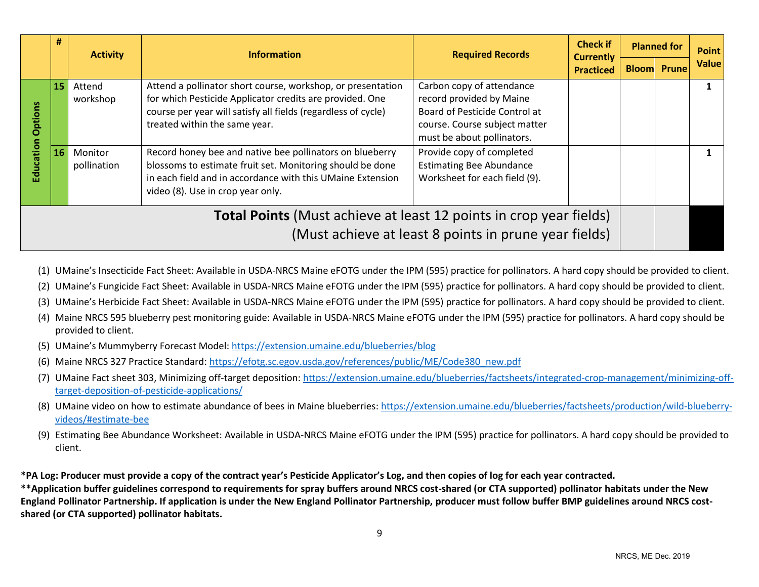|                                                                                                                                    | #  | <b>Required Records</b><br><b>Information</b><br><b>Activity</b> | <b>Check if</b><br><b>Currently</b>                                                                                                                                                                                       |                                                                                                                                                       | <b>Planned for</b> | <b>Point</b> |                    |              |
|------------------------------------------------------------------------------------------------------------------------------------|----|------------------------------------------------------------------|---------------------------------------------------------------------------------------------------------------------------------------------------------------------------------------------------------------------------|-------------------------------------------------------------------------------------------------------------------------------------------------------|--------------------|--------------|--------------------|--------------|
|                                                                                                                                    |    |                                                                  |                                                                                                                                                                                                                           |                                                                                                                                                       | <b>Practiced</b>   |              | <b>Bloom</b> Prune | <b>Value</b> |
| ptio<br>ō                                                                                                                          | 15 | Attend<br>workshop                                               | Attend a pollinator short course, workshop, or presentation<br>for which Pesticide Applicator credits are provided. One<br>course per year will satisfy all fields (regardless of cycle)<br>treated within the same year. | Carbon copy of attendance<br>record provided by Maine<br>Board of Pesticide Control at<br>course. Course subject matter<br>must be about pollinators. |                    |              |                    |              |
| Education                                                                                                                          | 16 | Monitor<br>pollination                                           | Record honey bee and native bee pollinators on blueberry<br>blossoms to estimate fruit set. Monitoring should be done<br>in each field and in accordance with this UMaine Extension<br>video (8). Use in crop year only.  | Provide copy of completed<br><b>Estimating Bee Abundance</b><br>Worksheet for each field (9).                                                         |                    |              |                    |              |
| <b>Total Points</b> (Must achieve at least 12 points in crop year fields)<br>(Must achieve at least 8 points in prune year fields) |    |                                                                  |                                                                                                                                                                                                                           |                                                                                                                                                       |                    |              |                    |              |

- (1) UMaine's Insecticide Fact Sheet: Available in USDA-NRCS Maine eFOTG under the IPM (595) practice for pollinators. A hard copy should be provided to client.
- (2) UMaine's Fungicide Fact Sheet: Available in USDA-NRCS Maine eFOTG under the IPM (595) practice for pollinators. A hard copy should be provided to client.
- (3) UMaine's Herbicide Fact Sheet: Available in USDA-NRCS Maine eFOTG under the IPM (595) practice for pollinators. A hard copy should be provided to client.
- (4) Maine NRCS 595 blueberry pest monitoring guide: Available in USDA-NRCS Maine eFOTG under the IPM (595) practice for pollinators. A hard copy should be provided to client.
- (5) UMaine's Mummyberry Forecast Model: <https://extension.umaine.edu/blueberries/blog>
- (6) Maine NRCS 327 Practice Standard: [https://efotg.sc.egov.usda.gov/references/public/ME/Code380\\_new.pdf](https://efotg.sc.egov.usda.gov/references/public/ME/Code380_new.pdf)
- (7) UMaine Fact sheet 303, Minimizing off-target deposition: [https://extension.umaine.edu/blueberries/factsheets/integrated-crop-management/minimizing-off](https://extension.umaine.edu/blueberries/factsheets/integrated-crop-management/minimizing-off-target-deposition-of-pesticide-applications/)[target-deposition-of-pesticide-applications/](https://extension.umaine.edu/blueberries/factsheets/integrated-crop-management/minimizing-off-target-deposition-of-pesticide-applications/)
- (8) UMaine video on how to estimate abundance of bees in Maine blueberries[: https://extension.umaine.edu/blueberries/factsheets/production/wild-blueberry](https://extension.umaine.edu/blueberries/factsheets/production/wild-blueberry-videos/#estimate-bee)[videos/#estimate-bee](https://extension.umaine.edu/blueberries/factsheets/production/wild-blueberry-videos/#estimate-bee)
- (9) Estimating Bee Abundance Worksheet: Available in USDA-NRCS Maine eFOTG under the IPM (595) practice for pollinators. A hard copy should be provided to client.

**\*PA Log: Producer must provide a copy of the contract year's Pesticide Applicator's Log, and then copies of log for each year contracted.**

**\*\*Application buffer guidelines correspond to requirements for spray buffers around NRCS cost-shared (or CTA supported) pollinator habitats under the New England Pollinator Partnership. If application is under the New England Pollinator Partnership, producer must follow buffer BMP guidelines around NRCS costshared (or CTA supported) pollinator habitats.**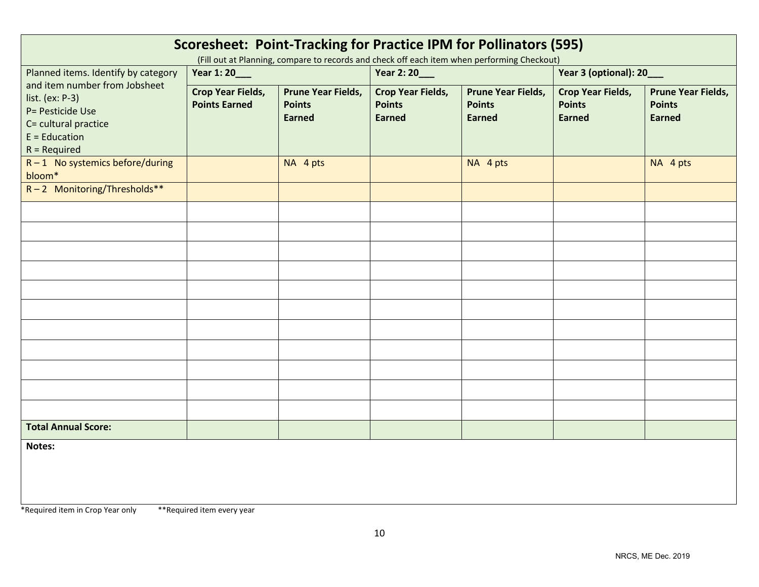| Scoresheet: Point-Tracking for Practice IPM for Pollinators (595)<br>(Fill out at Planning, compare to records and check off each item when performing Checkout) |                                                  |                                                             |                                                            |                                                             |                                                            |                                                             |
|------------------------------------------------------------------------------------------------------------------------------------------------------------------|--------------------------------------------------|-------------------------------------------------------------|------------------------------------------------------------|-------------------------------------------------------------|------------------------------------------------------------|-------------------------------------------------------------|
| Planned items. Identify by category                                                                                                                              | Year 1:20___                                     |                                                             | Year 2: 20___                                              |                                                             | Year 3 (optional): 20___                                   |                                                             |
| and item number from Jobsheet<br>list. (ex: $P-3$ )<br>P= Pesticide Use<br>C= cultural practice<br>$E =$ Education<br>$R = Required$                             | <b>Crop Year Fields,</b><br><b>Points Earned</b> | <b>Prune Year Fields,</b><br><b>Points</b><br><b>Earned</b> | <b>Crop Year Fields,</b><br><b>Points</b><br><b>Earned</b> | <b>Prune Year Fields,</b><br><b>Points</b><br><b>Earned</b> | <b>Crop Year Fields,</b><br><b>Points</b><br><b>Earned</b> | <b>Prune Year Fields,</b><br><b>Points</b><br><b>Earned</b> |
| $R-1$ No systemics before/during<br>bloom*                                                                                                                       |                                                  | NA 4 pts                                                    |                                                            | NA 4 pts                                                    |                                                            | NA 4 pts                                                    |
| $R-2$ Monitoring/Thresholds**                                                                                                                                    |                                                  |                                                             |                                                            |                                                             |                                                            |                                                             |
|                                                                                                                                                                  |                                                  |                                                             |                                                            |                                                             |                                                            |                                                             |
|                                                                                                                                                                  |                                                  |                                                             |                                                            |                                                             |                                                            |                                                             |
|                                                                                                                                                                  |                                                  |                                                             |                                                            |                                                             |                                                            |                                                             |
|                                                                                                                                                                  |                                                  |                                                             |                                                            |                                                             |                                                            |                                                             |
|                                                                                                                                                                  |                                                  |                                                             |                                                            |                                                             |                                                            |                                                             |
|                                                                                                                                                                  |                                                  |                                                             |                                                            |                                                             |                                                            |                                                             |
|                                                                                                                                                                  |                                                  |                                                             |                                                            |                                                             |                                                            |                                                             |
|                                                                                                                                                                  |                                                  |                                                             |                                                            |                                                             |                                                            |                                                             |
|                                                                                                                                                                  |                                                  |                                                             |                                                            |                                                             |                                                            |                                                             |
|                                                                                                                                                                  |                                                  |                                                             |                                                            |                                                             |                                                            |                                                             |
| <b>Total Annual Score:</b>                                                                                                                                       |                                                  |                                                             |                                                            |                                                             |                                                            |                                                             |
| Notes:                                                                                                                                                           |                                                  |                                                             |                                                            |                                                             |                                                            |                                                             |

\*Required item in Crop Year only \*\*Required item every year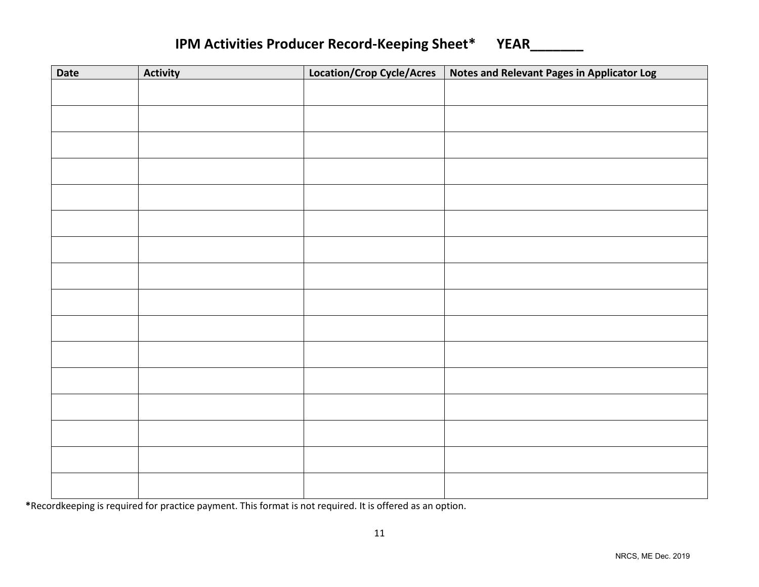| <b>IPM Activities Producer Record-Keeping Sheet*</b> | <b>YEAR</b> |
|------------------------------------------------------|-------------|
|------------------------------------------------------|-------------|

| Date | <b>Activity</b> | Location/Crop Cycle/Acres | <b>Notes and Relevant Pages in Applicator Log</b> |
|------|-----------------|---------------------------|---------------------------------------------------|
|      |                 |                           |                                                   |
|      |                 |                           |                                                   |
|      |                 |                           |                                                   |
|      |                 |                           |                                                   |
|      |                 |                           |                                                   |
|      |                 |                           |                                                   |
|      |                 |                           |                                                   |
|      |                 |                           |                                                   |
|      |                 |                           |                                                   |
|      |                 |                           |                                                   |
|      |                 |                           |                                                   |
|      |                 |                           |                                                   |
|      |                 |                           |                                                   |
|      |                 |                           |                                                   |
|      |                 |                           |                                                   |
|      |                 |                           |                                                   |
|      |                 |                           |                                                   |
|      |                 |                           |                                                   |
|      |                 |                           |                                                   |
|      |                 |                           |                                                   |
|      |                 |                           |                                                   |
|      |                 |                           |                                                   |
|      |                 |                           |                                                   |
|      |                 |                           |                                                   |
|      |                 |                           |                                                   |

**\***Recordkeeping is required for practice payment. This format is not required. It is offered as an option.